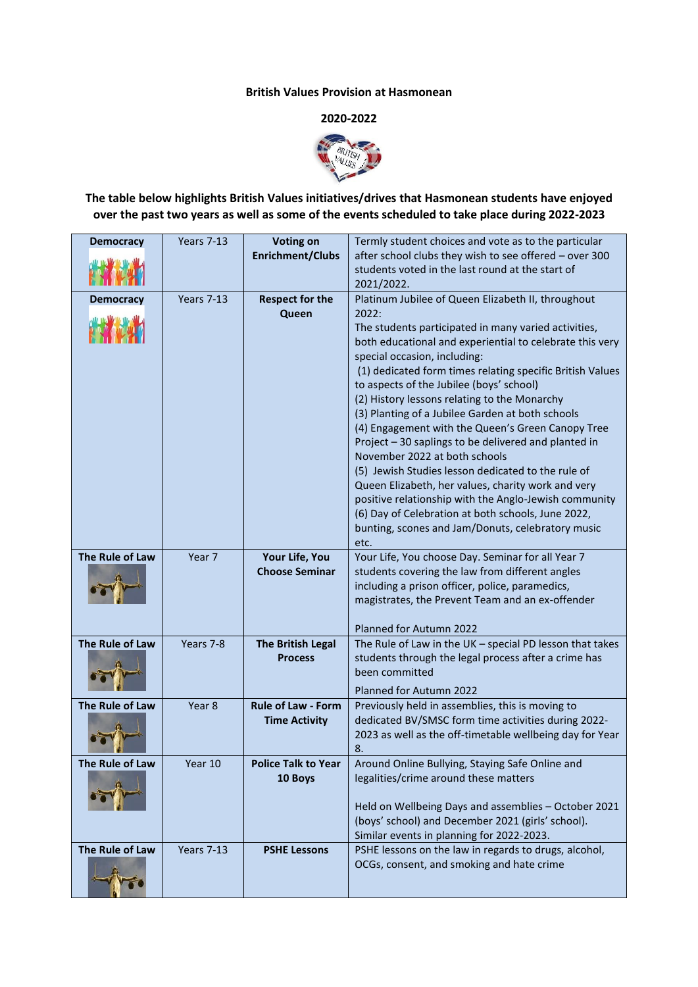## **British Values Provision at Hasmonean**

## **2020-2022**



## **The table below highlights British Values initiatives/drives that Hasmonean students have enjoyed over the past two years as well as some of the events scheduled to take place during 2022-2023**

| <b>Democracy</b>       | Years 7-13        | <b>Voting on</b>                        | Termly student choices and vote as to the particular                                                            |
|------------------------|-------------------|-----------------------------------------|-----------------------------------------------------------------------------------------------------------------|
|                        |                   | <b>Enrichment/Clubs</b>                 | after school clubs they wish to see offered - over 300                                                          |
|                        |                   |                                         | students voted in the last round at the start of<br>2021/2022.                                                  |
| <b>Democracy</b>       | <b>Years 7-13</b> | <b>Respect for the</b>                  | Platinum Jubilee of Queen Elizabeth II, throughout                                                              |
|                        |                   | Queen                                   | 2022:                                                                                                           |
|                        |                   |                                         | The students participated in many varied activities,                                                            |
|                        |                   |                                         | both educational and experiential to celebrate this very                                                        |
|                        |                   |                                         | special occasion, including:                                                                                    |
|                        |                   |                                         | (1) dedicated form times relating specific British Values                                                       |
|                        |                   |                                         | to aspects of the Jubilee (boys' school)                                                                        |
|                        |                   |                                         | (2) History lessons relating to the Monarchy                                                                    |
|                        |                   |                                         | (3) Planting of a Jubilee Garden at both schools                                                                |
|                        |                   |                                         | (4) Engagement with the Queen's Green Canopy Tree<br>Project - 30 saplings to be delivered and planted in       |
|                        |                   |                                         | November 2022 at both schools                                                                                   |
|                        |                   |                                         | (5) Jewish Studies lesson dedicated to the rule of                                                              |
|                        |                   |                                         | Queen Elizabeth, her values, charity work and very                                                              |
|                        |                   |                                         | positive relationship with the Anglo-Jewish community                                                           |
|                        |                   |                                         | (6) Day of Celebration at both schools, June 2022,                                                              |
|                        |                   |                                         | bunting, scones and Jam/Donuts, celebratory music                                                               |
| The Rule of Law        | Year 7            |                                         | etc.<br>Your Life, You choose Day. Seminar for all Year 7                                                       |
|                        |                   | Your Life, You<br><b>Choose Seminar</b> | students covering the law from different angles                                                                 |
|                        |                   |                                         | including a prison officer, police, paramedics,                                                                 |
|                        |                   |                                         | magistrates, the Prevent Team and an ex-offender                                                                |
|                        |                   |                                         |                                                                                                                 |
|                        |                   |                                         | Planned for Autumn 2022                                                                                         |
| The Rule of Law        | Years 7-8         | <b>The British Legal</b>                | The Rule of Law in the UK - special PD lesson that takes                                                        |
|                        |                   | <b>Process</b>                          | students through the legal process after a crime has                                                            |
|                        |                   |                                         | been committed                                                                                                  |
|                        |                   |                                         | Planned for Autumn 2022                                                                                         |
| <b>The Rule of Law</b> | Year 8            | <b>Rule of Law - Form</b>               | Previously held in assemblies, this is moving to                                                                |
|                        |                   | <b>Time Activity</b>                    | dedicated BV/SMSC form time activities during 2022-<br>2023 as well as the off-timetable wellbeing day for Year |
|                        |                   |                                         | 8.                                                                                                              |
| The Rule of Law        | Year 10           | <b>Police Talk to Year</b>              | Around Online Bullying, Staying Safe Online and                                                                 |
|                        |                   | 10 Boys                                 | legalities/crime around these matters                                                                           |
|                        |                   |                                         |                                                                                                                 |
|                        |                   |                                         | Held on Wellbeing Days and assemblies - October 2021                                                            |
|                        |                   |                                         | (boys' school) and December 2021 (girls' school).                                                               |
| The Rule of Law        | Years 7-13        |                                         | Similar events in planning for 2022-2023.                                                                       |
|                        |                   | <b>PSHE Lessons</b>                     | PSHE lessons on the law in regards to drugs, alcohol,<br>OCGs, consent, and smoking and hate crime              |
|                        |                   |                                         |                                                                                                                 |
|                        |                   |                                         |                                                                                                                 |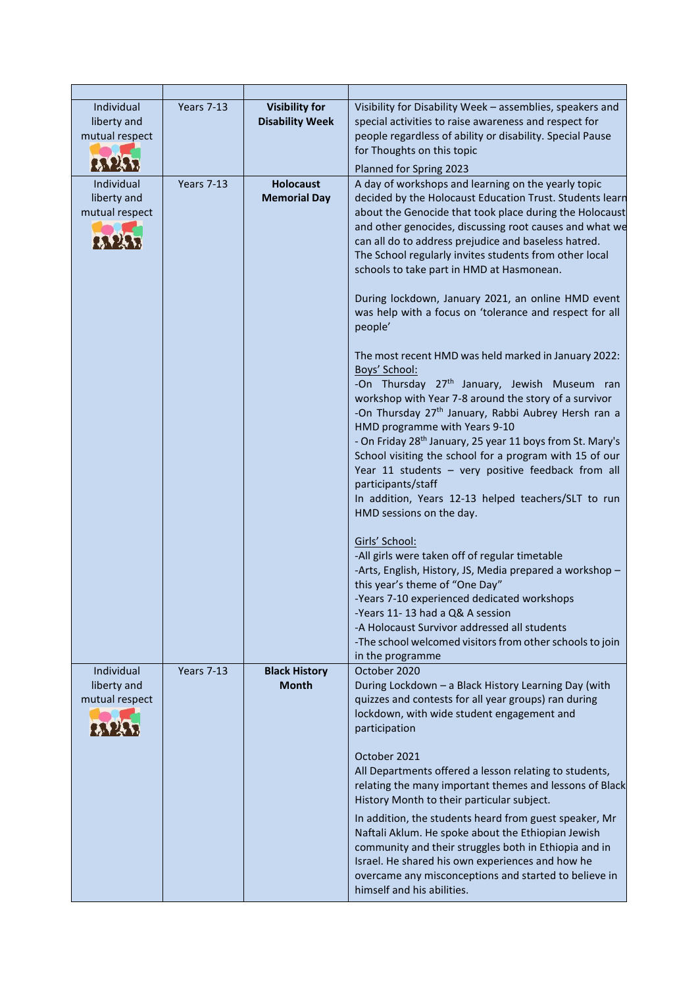| Individual<br>liberty and<br>mutual respect | <b>Years 7-13</b> | <b>Visibility for</b><br><b>Disability Week</b> | Visibility for Disability Week - assemblies, speakers and<br>special activities to raise awareness and respect for<br>people regardless of ability or disability. Special Pause<br>for Thoughts on this topic<br>Planned for Spring 2023                                                                                                                                                                                                                                                                                                                                                                                                                                                                                                                                                                                                                                                                                                                                                                                                                                                                                                                                                                                                                              |
|---------------------------------------------|-------------------|-------------------------------------------------|-----------------------------------------------------------------------------------------------------------------------------------------------------------------------------------------------------------------------------------------------------------------------------------------------------------------------------------------------------------------------------------------------------------------------------------------------------------------------------------------------------------------------------------------------------------------------------------------------------------------------------------------------------------------------------------------------------------------------------------------------------------------------------------------------------------------------------------------------------------------------------------------------------------------------------------------------------------------------------------------------------------------------------------------------------------------------------------------------------------------------------------------------------------------------------------------------------------------------------------------------------------------------|
| Individual<br>liberty and<br>mutual respect | Years 7-13        | <b>Holocaust</b><br><b>Memorial Day</b>         | A day of workshops and learning on the yearly topic<br>decided by the Holocaust Education Trust. Students learn<br>about the Genocide that took place during the Holocaust<br>and other genocides, discussing root causes and what we<br>can all do to address prejudice and baseless hatred.<br>The School regularly invites students from other local<br>schools to take part in HMD at Hasmonean.<br>During lockdown, January 2021, an online HMD event<br>was help with a focus on 'tolerance and respect for all<br>people'<br>The most recent HMD was held marked in January 2022:<br>Boys' School:<br>-On Thursday 27 <sup>th</sup> January, Jewish Museum ran<br>workshop with Year 7-8 around the story of a survivor<br>-On Thursday 27 <sup>th</sup> January, Rabbi Aubrey Hersh ran a<br>HMD programme with Years 9-10<br>- On Friday 28 <sup>th</sup> January, 25 year 11 boys from St. Mary's<br>School visiting the school for a program with 15 of our<br>Year 11 students - very positive feedback from all<br>participants/staff<br>In addition, Years 12-13 helped teachers/SLT to run<br>HMD sessions on the day.<br>Girls' School:<br>-All girls were taken off of regular timetable<br>-Arts, English, History, JS, Media prepared a workshop - |
|                                             |                   |                                                 | this year's theme of "One Day"<br>-Years 7-10 experienced dedicated workshops<br>-Years 11-13 had a Q& A session<br>-A Holocaust Survivor addressed all students<br>-The school welcomed visitors from other schools to join<br>in the programme                                                                                                                                                                                                                                                                                                                                                                                                                                                                                                                                                                                                                                                                                                                                                                                                                                                                                                                                                                                                                      |
| Individual<br>liberty and<br>mutual respect | <b>Years 7-13</b> | <b>Black History</b><br><b>Month</b>            | October 2020<br>During Lockdown - a Black History Learning Day (with<br>quizzes and contests for all year groups) ran during<br>lockdown, with wide student engagement and<br>participation<br>October 2021<br>All Departments offered a lesson relating to students,<br>relating the many important themes and lessons of Black<br>History Month to their particular subject.                                                                                                                                                                                                                                                                                                                                                                                                                                                                                                                                                                                                                                                                                                                                                                                                                                                                                        |
|                                             |                   |                                                 | In addition, the students heard from guest speaker, Mr<br>Naftali Aklum. He spoke about the Ethiopian Jewish<br>community and their struggles both in Ethiopia and in<br>Israel. He shared his own experiences and how he<br>overcame any misconceptions and started to believe in<br>himself and his abilities.                                                                                                                                                                                                                                                                                                                                                                                                                                                                                                                                                                                                                                                                                                                                                                                                                                                                                                                                                      |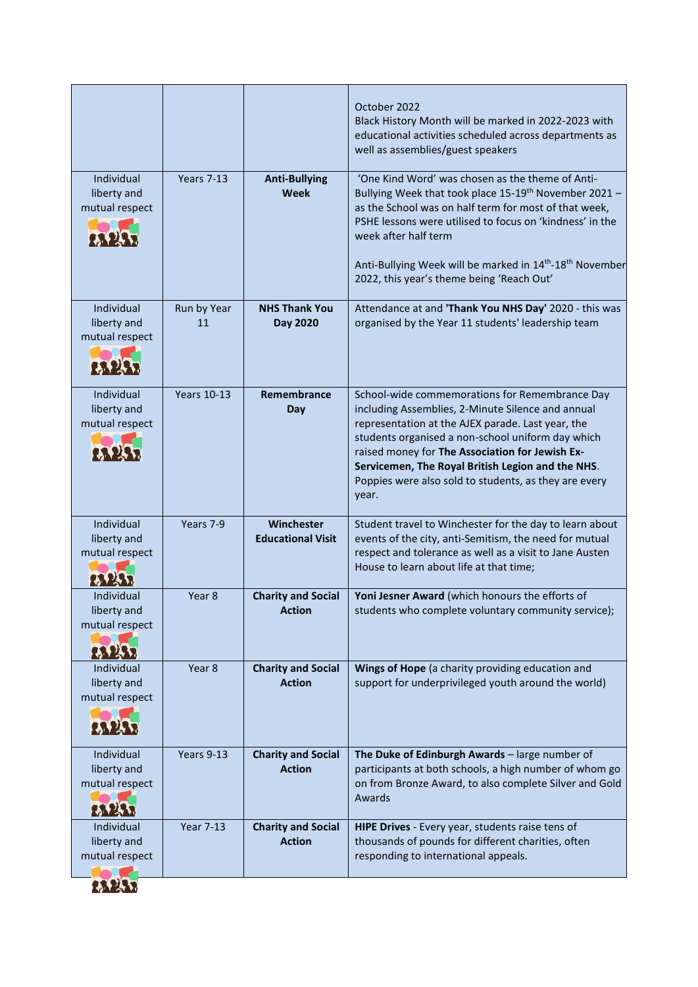|                                             |                    |                                            | October 2022<br>Black History Month will be marked in 2022-2023 with<br>educational activities scheduled across departments as<br>well as assemblies/guest speakers                                                                                                                                                                                                                     |
|---------------------------------------------|--------------------|--------------------------------------------|-----------------------------------------------------------------------------------------------------------------------------------------------------------------------------------------------------------------------------------------------------------------------------------------------------------------------------------------------------------------------------------------|
| Individual<br>liberty and<br>mutual respect | <b>Years 7-13</b>  | <b>Anti-Bullying</b><br><b>Week</b>        | 'One Kind Word' was chosen as the theme of Anti-<br>Bullying Week that took place 15-19th November 2021 -<br>as the School was on half term for most of that week,<br>PSHE lessons were utilised to focus on 'kindness' in the<br>week after half term<br>Anti-Bullying Week will be marked in 14 <sup>th</sup> -18 <sup>th</sup> November<br>2022, this year's theme being 'Reach Out' |
| Individual<br>liberty and<br>mutual respect | Run by Year<br>11  | <b>NHS Thank You</b><br>Day 2020           | Attendance at and 'Thank You NHS Day' 2020 - this was<br>organised by the Year 11 students' leadership team                                                                                                                                                                                                                                                                             |
| Individual<br>liberty and<br>mutual respect | <b>Years 10-13</b> | Remembrance<br>Day                         | School-wide commemorations for Remembrance Day<br>including Assemblies, 2-Minute Silence and annual<br>representation at the AJEX parade. Last year, the<br>students organised a non-school uniform day which<br>raised money for The Association for Jewish Ex-<br>Servicemen, The Royal British Legion and the NHS.<br>Poppies were also sold to students, as they are every<br>year. |
| Individual<br>liberty and<br>mutual respect | Years 7-9          | Winchester<br><b>Educational Visit</b>     | Student travel to Winchester for the day to learn about<br>events of the city, anti-Semitism, the need for mutual<br>respect and tolerance as well as a visit to Jane Austen<br>House to learn about life at that time;                                                                                                                                                                 |
| Individual<br>liberty and<br>mutual respect | Year 8             | <b>Charity and Social</b><br><b>Action</b> | Yoni Jesner Award (which honours the efforts of<br>students who complete voluntary community service);                                                                                                                                                                                                                                                                                  |
| Individual<br>liberty and<br>mutual respect | Year 8             | <b>Charity and Social</b><br><b>Action</b> | Wings of Hope (a charity providing education and<br>support for underprivileged youth around the world)                                                                                                                                                                                                                                                                                 |
| Individual<br>liberty and<br>mutual respect | Years 9-13         | <b>Charity and Social</b><br><b>Action</b> | The Duke of Edinburgh Awards - large number of<br>participants at both schools, a high number of whom go<br>on from Bronze Award, to also complete Silver and Gold<br>Awards                                                                                                                                                                                                            |
| Individual<br>liberty and<br>mutual respect | <b>Year 7-13</b>   | <b>Charity and Social</b><br><b>Action</b> | HIPE Drives - Every year, students raise tens of<br>thousands of pounds for different charities, often<br>responding to international appeals.                                                                                                                                                                                                                                          |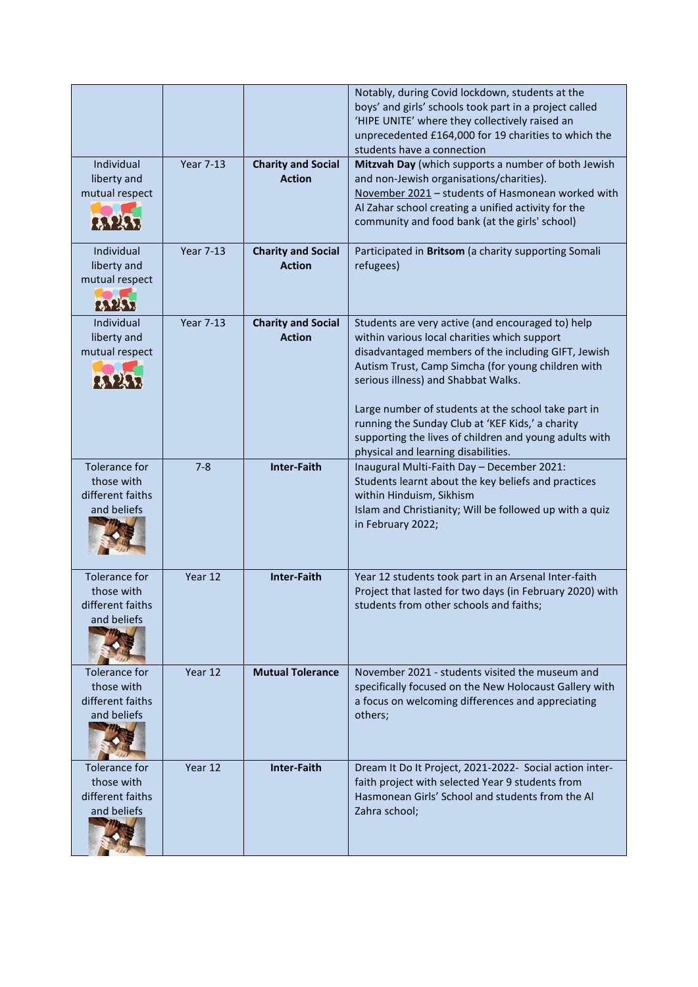|                                                                       |                  |                                            | Notably, during Covid lockdown, students at the<br>boys' and girls' schools took part in a project called<br>'HIPE UNITE' where they collectively raised an<br>unprecedented £164,000 for 19 charities to which the<br>students have a connection                                                                                                                                                                                                                 |
|-----------------------------------------------------------------------|------------------|--------------------------------------------|-------------------------------------------------------------------------------------------------------------------------------------------------------------------------------------------------------------------------------------------------------------------------------------------------------------------------------------------------------------------------------------------------------------------------------------------------------------------|
| Individual<br>liberty and<br>mutual respect                           | <b>Year 7-13</b> | <b>Charity and Social</b><br><b>Action</b> | Mitzvah Day (which supports a number of both Jewish<br>and non-Jewish organisations/charities).<br>November 2021 - students of Hasmonean worked with<br>Al Zahar school creating a unified activity for the<br>community and food bank (at the girls' school)                                                                                                                                                                                                     |
| Individual<br>liberty and<br>mutual respect                           | <b>Year 7-13</b> | <b>Charity and Social</b><br><b>Action</b> | Participated in Britsom (a charity supporting Somali<br>refugees)                                                                                                                                                                                                                                                                                                                                                                                                 |
| Individual<br>liberty and<br>mutual respect                           | <b>Year 7-13</b> | <b>Charity and Social</b><br><b>Action</b> | Students are very active (and encouraged to) help<br>within various local charities which support<br>disadvantaged members of the including GIFT, Jewish<br>Autism Trust, Camp Simcha (for young children with<br>serious illness) and Shabbat Walks.<br>Large number of students at the school take part in<br>running the Sunday Club at 'KEF Kids,' a charity<br>supporting the lives of children and young adults with<br>physical and learning disabilities. |
| Tolerance for<br>those with<br>different faiths<br>and beliefs        | $7 - 8$          | <b>Inter-Faith</b>                         | Inaugural Multi-Faith Day - December 2021:<br>Students learnt about the key beliefs and practices<br>within Hinduism, Sikhism<br>Islam and Christianity; Will be followed up with a quiz<br>in February 2022;                                                                                                                                                                                                                                                     |
| <b>Tolerance for</b><br>those with<br>different faiths<br>and beliefs | Year 12          | <b>Inter-Faith</b>                         | Year 12 students took part in an Arsenal Inter-faith<br>Project that lasted for two days (in February 2020) with<br>students from other schools and faiths;                                                                                                                                                                                                                                                                                                       |
| Tolerance for<br>those with<br>different faiths<br>and beliefs        | Year 12          | <b>Mutual Tolerance</b>                    | November 2021 - students visited the museum and<br>specifically focused on the New Holocaust Gallery with<br>a focus on welcoming differences and appreciating<br>others;                                                                                                                                                                                                                                                                                         |
| Tolerance for<br>those with<br>different faiths<br>and beliefs        | Year 12          | <b>Inter-Faith</b>                         | Dream It Do It Project, 2021-2022- Social action inter-<br>faith project with selected Year 9 students from<br>Hasmonean Girls' School and students from the Al<br>Zahra school;                                                                                                                                                                                                                                                                                  |